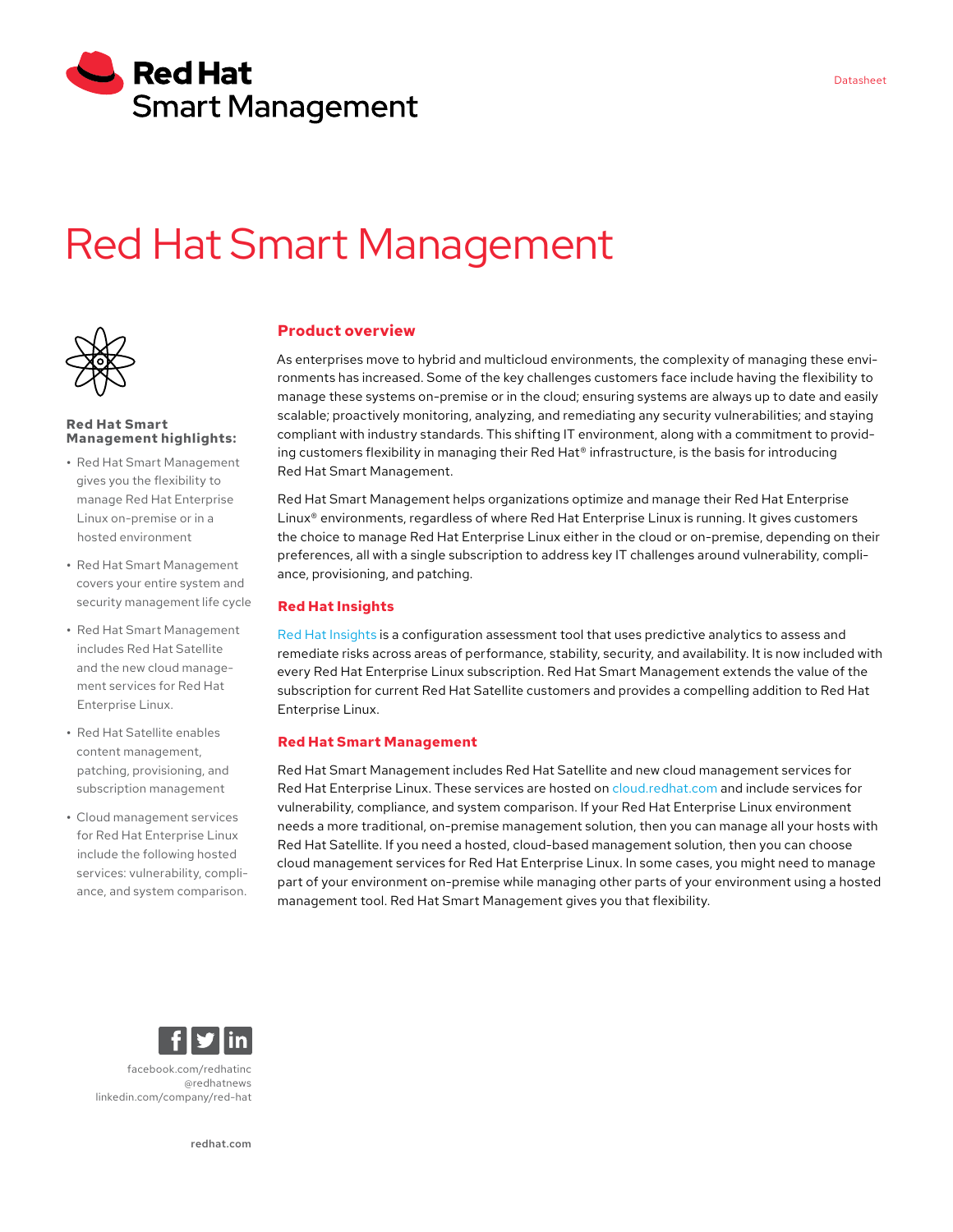

# Red Hat Smart Management



#### **Red Hat Smart Management highlights:**

- **•** Red Hat Smart Management gives you the flexibility to manage Red Hat Enterprise Linux on-premise or in a hosted environment
- **•** Red Hat Smart Management covers your entire system and security management life cycle
- **•** Red Hat Smart Management includes Red Hat Satellite and the new cloud management services for Red Hat Enterprise Linux.
- **•** Red Hat Satellite enables content management, patching, provisioning, and subscription management
- **•** Cloud management services for Red Hat Enterprise Linux include the following hosted services: vulnerability, compliance, and system comparison.

## **Product overview**

As enterprises move to hybrid and multicloud environments, the complexity of managing these environments has increased. Some of the key challenges customers face include having the flexibility to manage these systems on-premise or in the cloud; ensuring systems are always up to date and easily scalable; proactively monitoring, analyzing, and remediating any security vulnerabilities; and staying compliant with industry standards. This shifting IT environment, along with a commitment to providing customers flexibility in managing their Red Hat® infrastructure, is the basis for introducing Red Hat Smart Management.

Red Hat Smart Management helps organizations optimize and manage their Red Hat Enterprise Linux® environments, regardless of where Red Hat Enterprise Linux is running. It gives customers the choice to manage Red Hat Enterprise Linux either in the cloud or on-premise, depending on their preferences, all with a single subscription to address key IT challenges around vulnerability, compliance, provisioning, and patching.

### **Red Hat Insights**

[Red Hat Insights](https://www.redhat.com/en/technologies/management/insights) is a configuration assessment tool that uses predictive analytics to assess and remediate risks across areas of performance, stability, security, and availability. It is now included with every Red Hat Enterprise Linux subscription. Red Hat Smart Management extends the value of the subscription for current Red Hat Satellite customers and provides a compelling addition to Red Hat Enterprise Linux.

#### **Red Hat Smart Management**

Red Hat Smart Management includes Red Hat Satellite and new cloud management services for Red Hat Enterprise Linux. These services are hosted on [cloud.redhat.com](https://cloud.redhat.com) and include services for vulnerability, compliance, and system comparison. If your Red Hat Enterprise Linux environment needs a more traditional, on-premise management solution, then you can manage all your hosts with Red Hat Satellite. If you need a hosted, cloud-based management solution, then you can choose cloud management services for Red Hat Enterprise Linux. In some cases, you might need to manage part of your environment on-premise while managing other parts of your environment using a hosted management tool. Red Hat Smart Management gives you that flexibility.



[facebook.com/redhatinc](http://facebook.com/redhatinc) [@redhatnews](https://twitter.com/RedHatNews) [linkedin.com/company/red](http://linkedin.com/company/red-hat)-hat

[redhat.com](http://redhat.com)